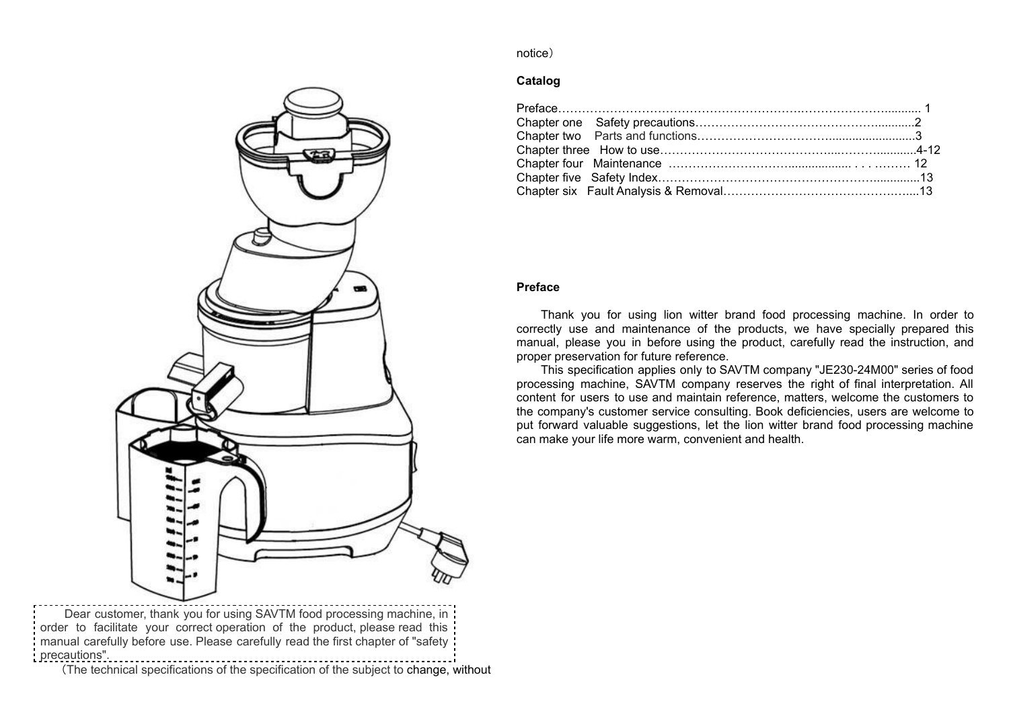

Dear customer, thank you for using SAVTM food processing machine, in order to facilitate your correct operation of the product, please read this manual carefully before use. Please carefully read the first chapter of "safety precautions".

(The technical specifications of the specification of the subject to change, without

notice)

## **Catalog**

#### **Preface**

Thank you for using lion witter brand food processing machine. In order to correctly use and maintenance of the products, we have specially prepared this manual, please you in before using the product, carefully read the instruction, and proper preservation for future reference.

This specification applies only to SAVTM company "JE230-24M00" series of food processing machine, SAVTM company reserves the right of final interpretation. All content for users to use and maintain reference, matters, welcome the customers to the company's customer service consulting. Book deficiencies, users are welcome to put forward valuable suggestions, let the lion witter brand food processing machine can make your life more warm, convenient and health.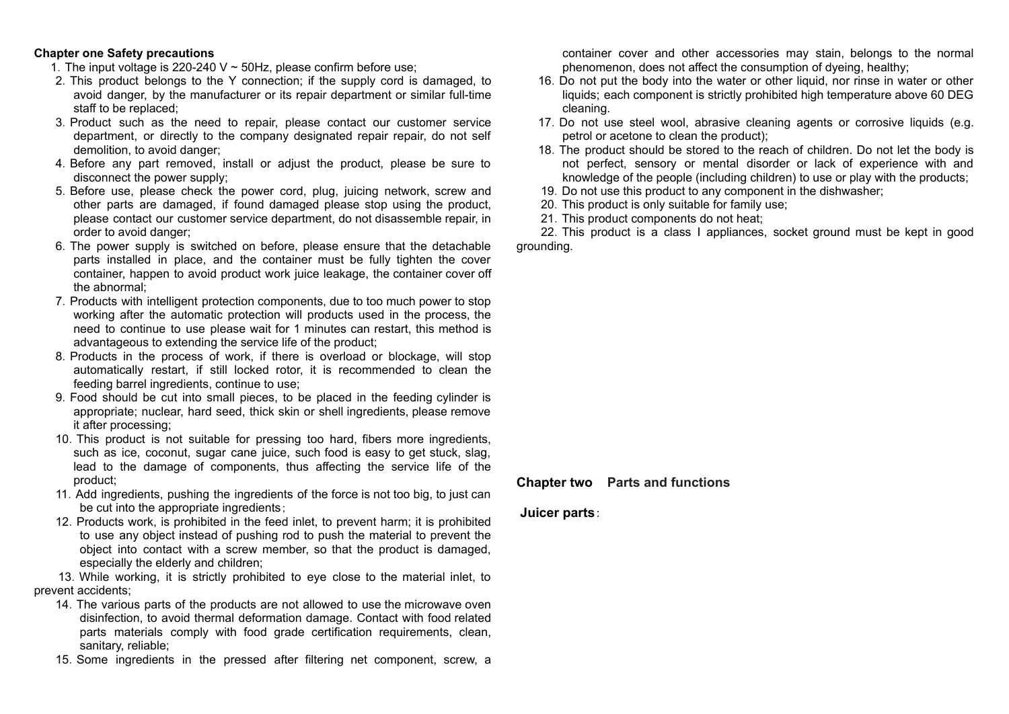#### **Chapter one Safety precautions**

- 1. The input voltage is 220-240 V  $\sim$  50Hz, please confirm before use;
- 2.This product belongs to the Y connection; if the supply cord is damaged, to avoid danger, by the manufacturer or its repair department or similar full-time staff to be replaced;
- 3.Product such as the need to repair, please contact our customer service department, or directly to the company designated repair repair, do not self demolition, to avoid danger;
- 4.Before any part removed, install or adjust the product, please be sure to disconnect the power supply;
- 5.Before use, please check the power cord, plug, juicing network, screw and other parts are damaged, if found damaged please stop using the product, please contact our customer service department, do not disassemble repair, in order to avoid danger;
- 6.The power supply is switched on before, please ensure that the detachable parts installed in place, and the container must be fully tighten the cover container, happen to avoid product work juice leakage, the container cover off the abnormal;
- 7.Products with intelligent protection components, due to too much power to stop working after the automatic protection will products used in the process, the need to continue to use please wait for 1 minutes can restart, this method is advantageous to extending the service life of the product;
- 8.Products in the process of work, if there is overload or blockage, will stop automatically restart, if still locked rotor, it is recommended to clean the feeding barrel ingredients, continue to use;
- 9.Food should be cut into small pieces, to be placed in the feeding cylinder is appropriate; nuclear, hard seed, thick skin or shell ingredients, please remove it after processing;
- 10.This product is not suitable for pressing too hard, fibers more ingredients, such as ice, coconut, sugar cane juice, such food is easy to get stuck, slag, lead to the damage of components, thus affecting the service life of the product;
- 11.Add ingredients, pushing the ingredients of the force is not too big, to just can be cut into the appropriate ingredients;
- 12.Products work, is prohibited in the feed inlet, to prevent harm; it is prohibited to use any object instead of pushing rod to push the material to prevent the object into contact with a screw member, so that the product is damaged, especially the elderly and children;

13.While working, it is strictly prohibited to eye close to the material inlet, to prevent accidents;

- 14.The various parts of the products are not allowed to use the microwave oven disinfection, to avoid thermal deformation damage. Contact with food related parts materials comply with food grade certification requirements, clean, sanitary, reliable;
- 15.Some ingredients in the pressed after filtering net component, screw, a

container cover and other accessories may stain, belongs to the normal phenomenon, does not affect the consumption of dyeing, healthy;

- 16.Do not put the body into the water or other liquid, nor rinse in water or other liquids; each component is strictly prohibited high temperature above 60 DEG cleaning.
- 17.Do not use steel wool, abrasive cleaning agents or corrosive liquids (e.g. petrol or acetone to clean the product);
- 18.The product should be stored to the reach of children. Do not let the body is not perfect, sensory or mental disorder or lack of experience with and knowledge of the people (including children) to use or play with the products;
- 19.Do not use this product to any component in the dishwasher;
- 20.This product is only suitable for family use;
- 21.This product components do not heat;

22.This product is a class I appliances, socket ground must be kept in good grounding.

**Chapter two Parts and functions**

**Juicer parts**: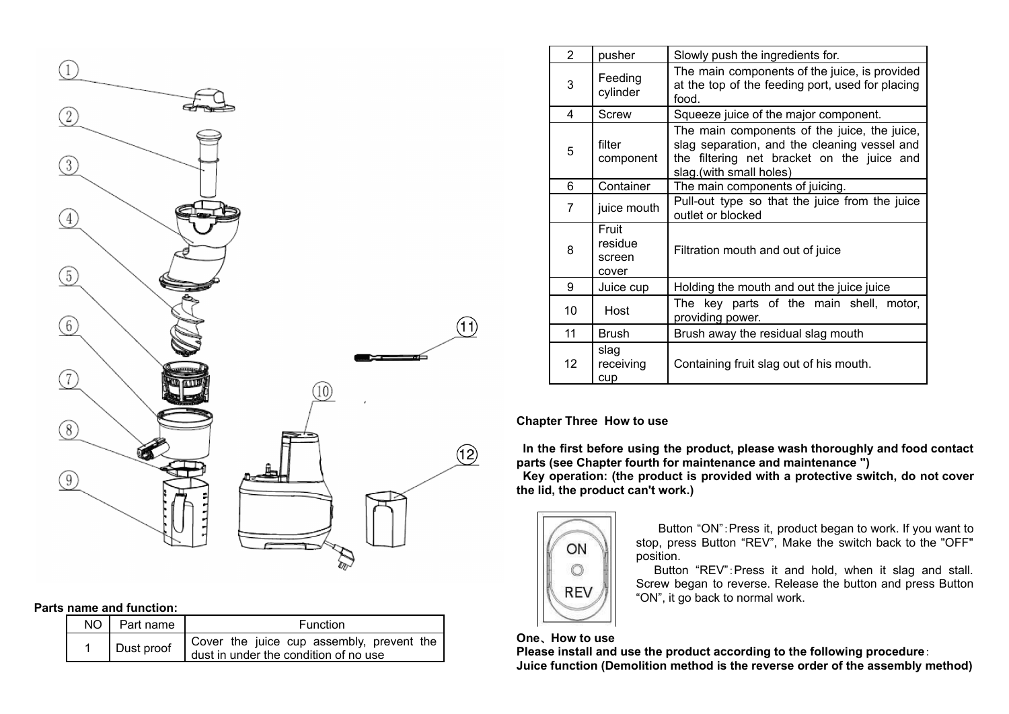

#### **Parts name and function:**

| NO. | Part name  | Function                                                                           |  |
|-----|------------|------------------------------------------------------------------------------------|--|
|     | Dust proof | Cover the juice cup assembly, prevent the<br>dust in under the condition of no use |  |

| $\overline{2}$ | pusher                              | Slowly push the ingredients for.                                                                                                                                      |  |
|----------------|-------------------------------------|-----------------------------------------------------------------------------------------------------------------------------------------------------------------------|--|
| 3              | Feeding<br>cylinder                 | The main components of the juice, is provided<br>at the top of the feeding port, used for placing<br>food.                                                            |  |
| 4              | <b>Screw</b>                        | Squeeze juice of the major component.                                                                                                                                 |  |
| 5              | filter<br>component                 | The main components of the juice, the juice,<br>slag separation, and the cleaning vessel and<br>the filtering net bracket on the juice and<br>slag.(with small holes) |  |
| 6              | Container                           | The main components of juicing.                                                                                                                                       |  |
| $\overline{7}$ | juice mouth                         | Pull-out type so that the juice from the juice<br>outlet or blocked                                                                                                   |  |
| 8              | Fruit<br>residue<br>screen<br>cover | Filtration mouth and out of juice                                                                                                                                     |  |
| 9              | Juice cup                           | Holding the mouth and out the juice juice                                                                                                                             |  |
| 10             | Host                                | The key parts of the main shell, motor,<br>providing power.                                                                                                           |  |
| 11             | <b>Brush</b>                        | Brush away the residual slag mouth                                                                                                                                    |  |
| 12             | slag<br>receiving<br>cup            | Containing fruit slag out of his mouth.                                                                                                                               |  |

## **Chapter Three How to use**

**In the first before using the product, please wash thoroughly and food contact parts (see Chapter fourth for maintenance and maintenance ")**

**Key operation: (the product is provided with a protective switch, do not cover the lid, the product can't work.)**



Button "ON":Press it, product began to work. If you want to stop, press Button "REV", Make the switch back to the "OFF" position.

Button "REV":Press it and hold, when it slag and stall. Screw began to reverse. Release the button and press Button "ON", it go back to normal work.

## **One**、 **How to use**

**Please install and use the product according to the following procedure**: **Juice function (Demolition method is the reverse order of the assembly method)**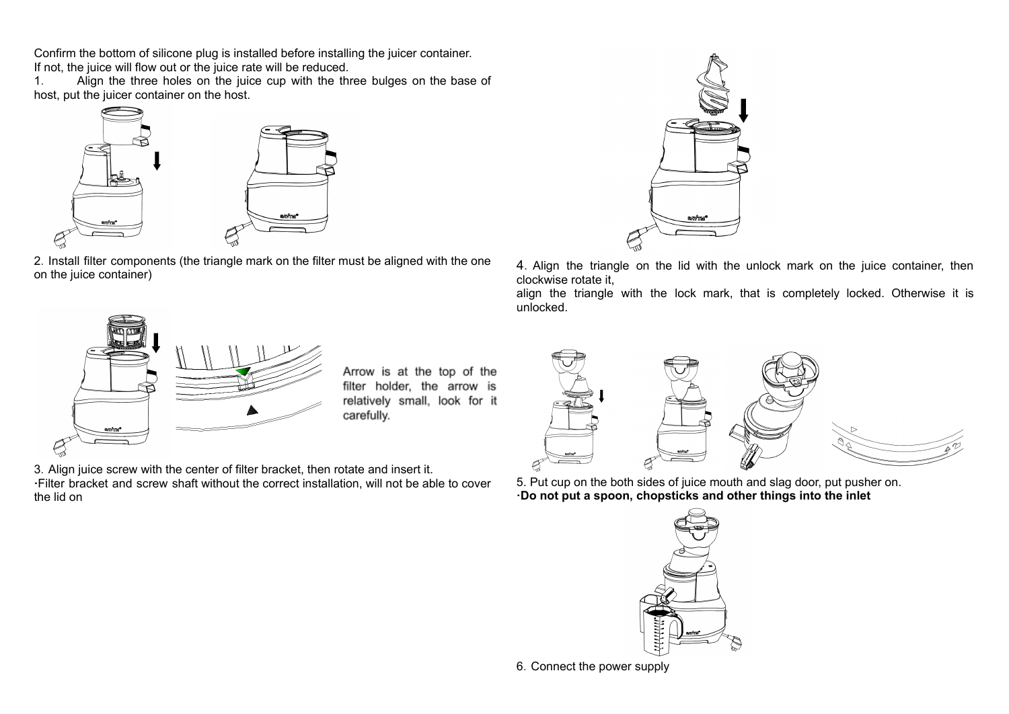Confirm the bottom of silicone plug is installed before installing the juicer container. If not, the juice will flow out or the juice rate will be reduced.

1. Align the three holes on the juice cup with the three bulges on the base of host, put the juicer container on the host.



2.Install filter components (the triangle mark on the filter must be aligned with the one on the juice container)



4.Align the triangle on the lid with the unlock mark on the juice container, then clockwise rotate it,

align the triangle with the lock mark, that is completely locked. Otherwise it is unlocked.



Arrow is at the top of the filter holder, the arrow is relatively small, look for it carefully.

3.Align juice screw with the center of filter bracket, then rotate and insert it. **·**Filter bracket and screw shaft without the correct installation, will not be able to cover the lid on



5. Put cup on the both sides of juice mouth and slag door, put pusher on. **·Do not put a spoon, chopsticks and other things into the inlet**



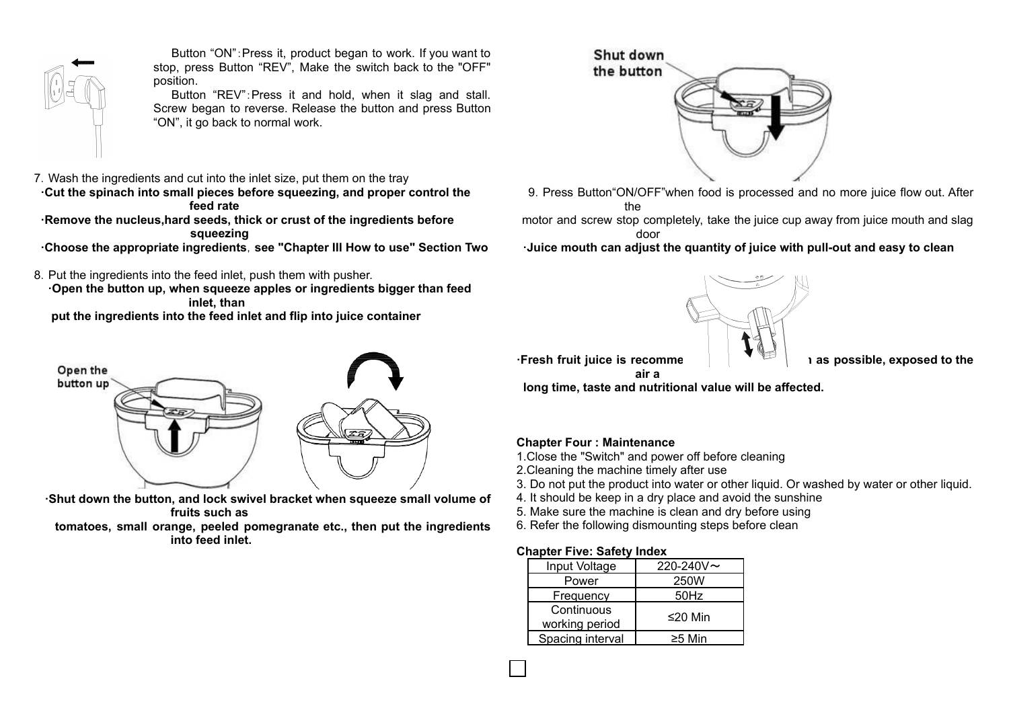

Button "ON":Press it, product began to work. If you want to stop, press Button "REV", Make the switch back to the "OFF" position.

Button "REV":Press it and hold, when it slag and stall. Screw began to reverse. Release the button and press Button "ON", it go back to normal work.

7.Wash the ingredients and cut into the inlet size, put them on the tray

- **·Cut the spinach into small pieces before squeezing, and proper control the feed rate**
- **·Remove the nucleus,hard seeds, thick or crust of the ingredients before squeezing**

**·Choose the appropriate ingredients**,**see "Chapter III How to use" Section Two**

- 8.Put the ingredients into the feed inlet, push them with pusher.
	- **·Open the button up, when squeeze apples or ingredients bigger than feed inlet, than put the ingredients into the feed inlet and flip into juice container**

Open the button up

**·Shut down the button, and lock swivel bracket when squeeze small volume of fruits such as**

**tomatoes, small orange, peeled pomegranate etc., then put the ingredients into feed inlet.**

Shut down the button

9. Press Button "ON/OFF" when food is processed and no more juice flow out. After the

motor and screw stop completely, take the juice cup away from juice mouth and slag door

**·Juice mouth can adjust the quantity of juice with pull-out and easy to clean**



**·Fresh fruit juice is recommended to drink as soon as possible, exposed to the air a long time, taste and nutritional value will be affected.**

**Chapter Four : Maintenance**

- 1.Close the "Switch" and power off before cleaning
- 2.Cleaning the machine timely after use
- 3. Do not put the product into water or other liquid. Or washed by water or other liquid.
- 4. It should be keep in a dry place and avoid the sunshine
- 5. Make sure the machine is clean and dry before using
- 6. Refer the following dismounting steps before clean

# **Chapter Five: Safety Index**

| Input Voltage                | $220 - 240V$ ~ |
|------------------------------|----------------|
| Power                        | 250W           |
| Frequency                    | 50Hz           |
| Continuous<br>working period | ≤20 Min        |
| Spacing interval             | ≥5 Min         |